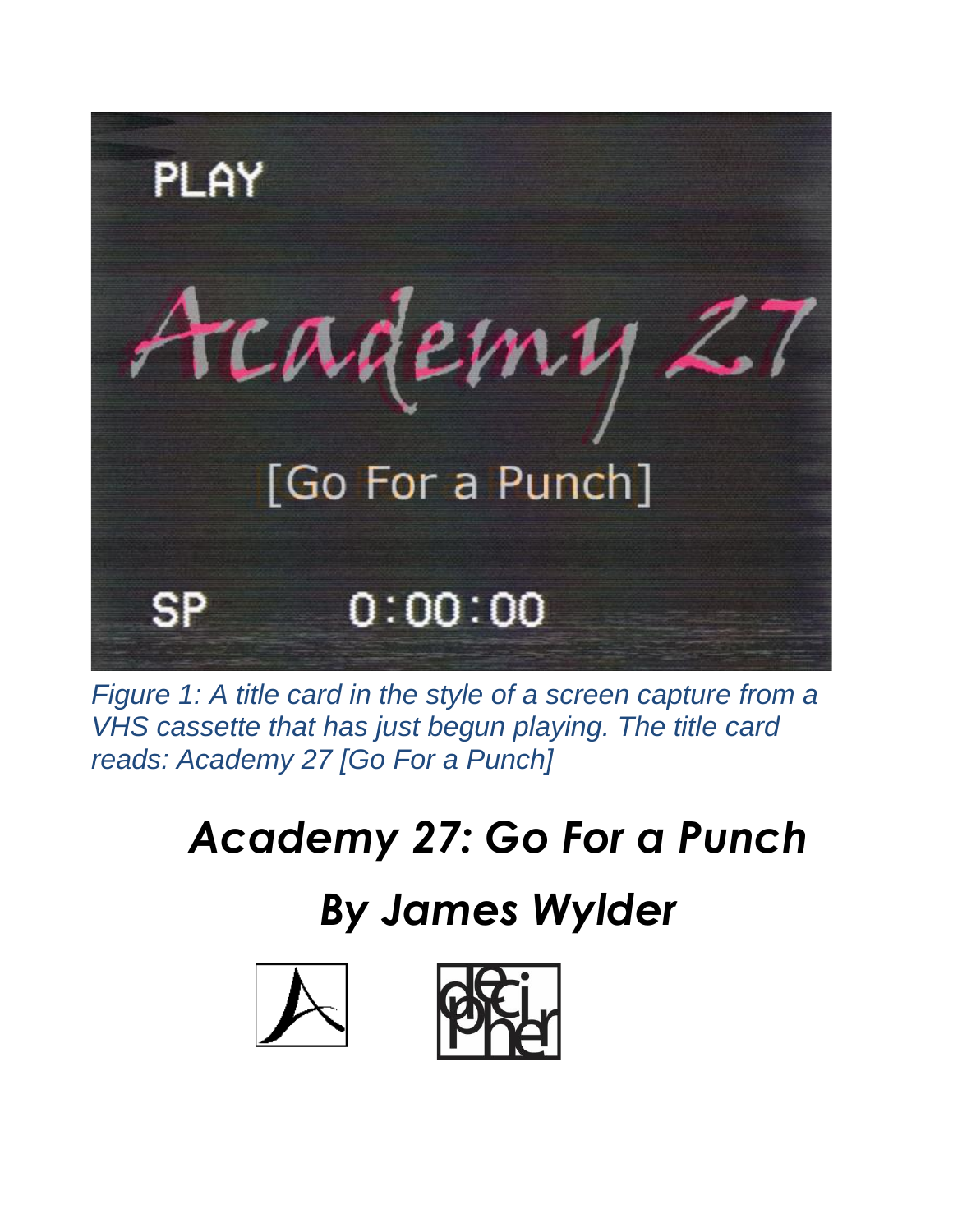

*Figure 1: A title card in the style of a screen capture from a VHS cassette that has just begun playing. The title card reads: Academy 27 [Go For a Punch]*

# *Academy 27: Go For a Punch*

## *By James Wylder*

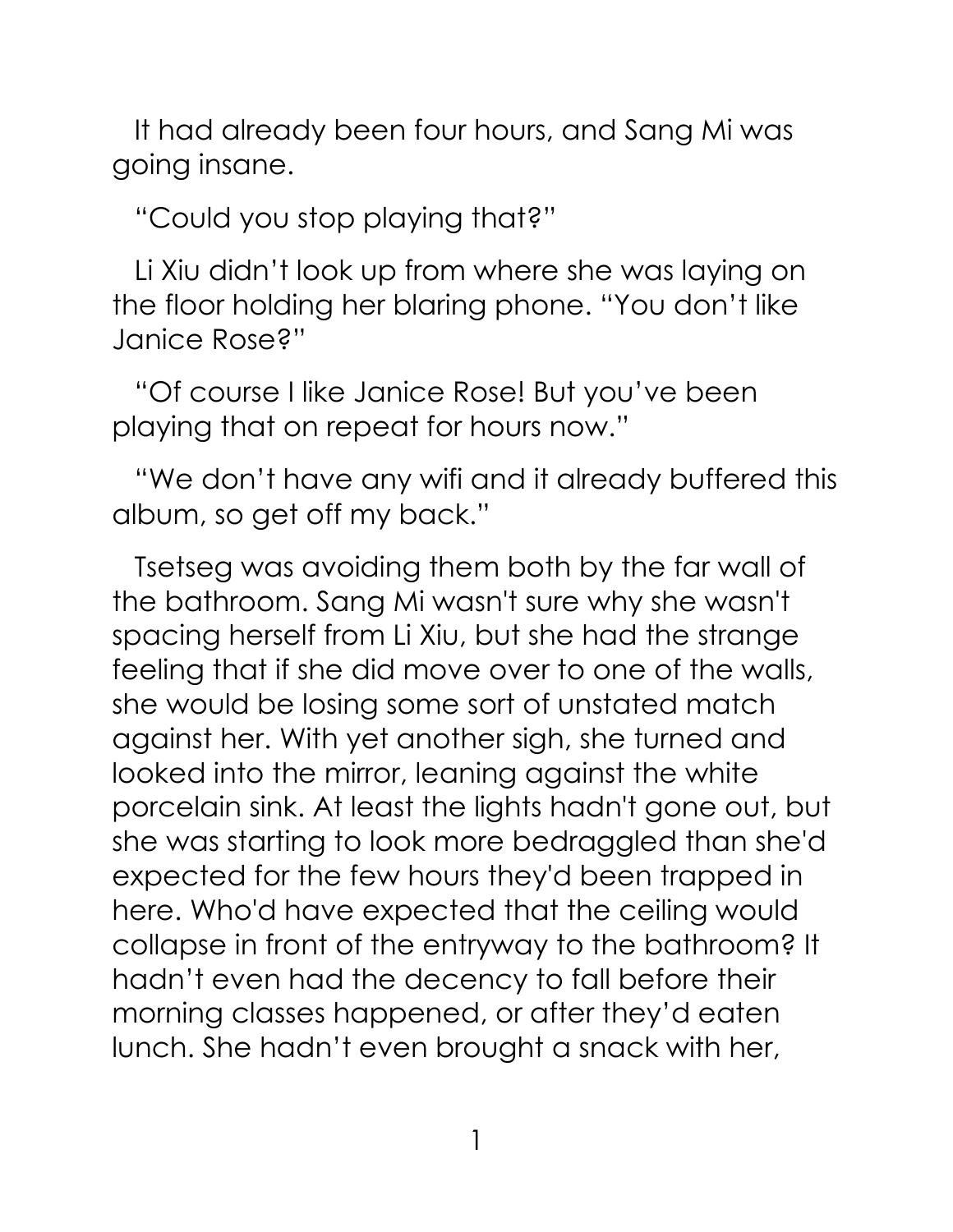It had already been four hours, and Sang Mi was going insane.

"Could you stop playing that?"

Li Xiu didn't look up from where she was laying on the floor holding her blaring phone. "You don't like Janice Rose?"

"Of course I like Janice Rose! But you've been playing that on repeat for hours now."

"We don't have any wifi and it already buffered this album, so get off my back."

Tsetseg was avoiding them both by the far wall of the bathroom. Sang Mi wasn't sure why she wasn't spacing herself from Li Xiu, but she had the strange feeling that if she did move over to one of the walls, she would be losing some sort of unstated match against her. With yet another sigh, she turned and looked into the mirror, leaning against the white porcelain sink. At least the lights hadn't gone out, but she was starting to look more bedraggled than she'd expected for the few hours they'd been trapped in here. Who'd have expected that the ceiling would collapse in front of the entryway to the bathroom? It hadn't even had the decency to fall before their morning classes happened, or after they'd eaten lunch. She hadn't even brought a snack with her,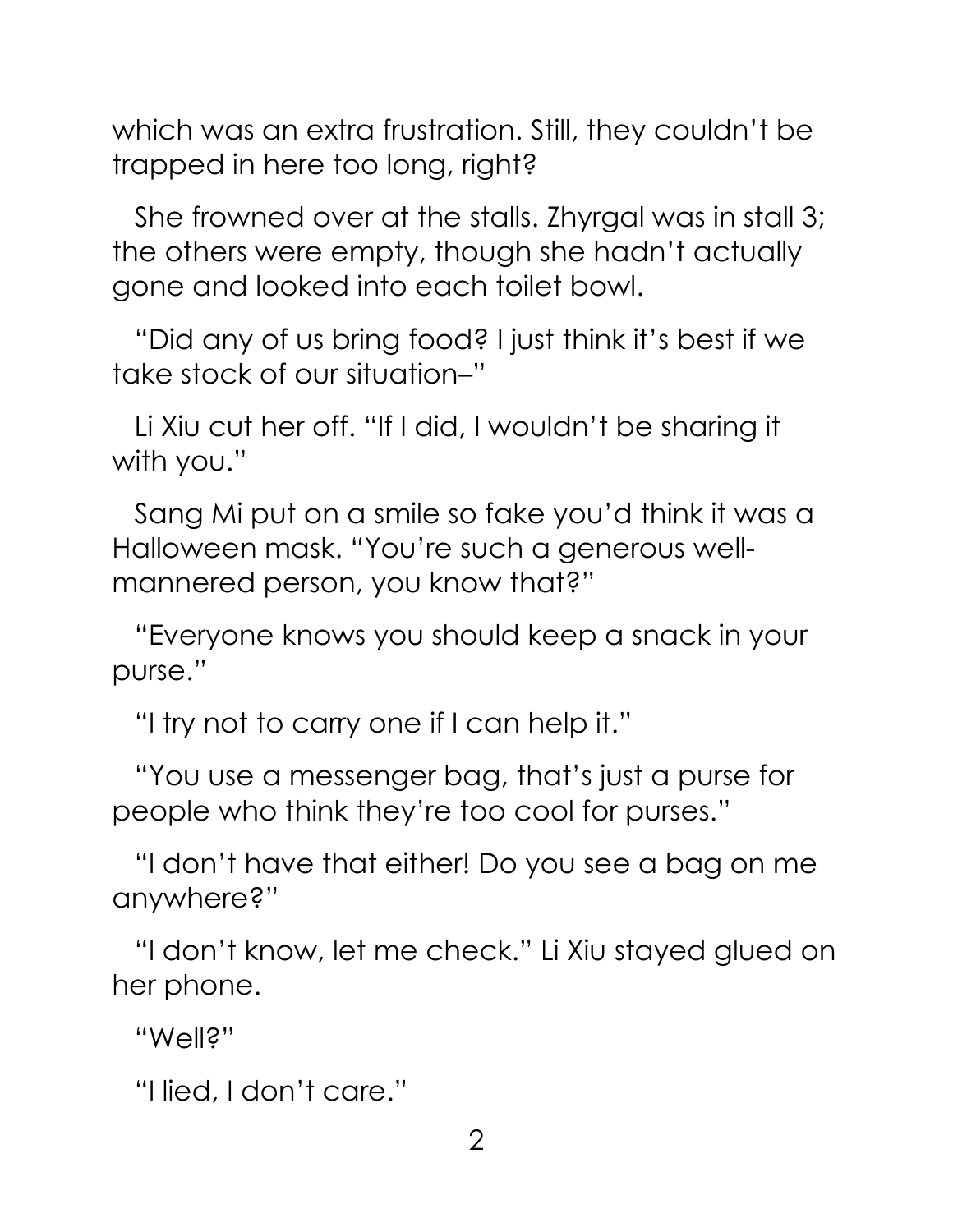which was an extra frustration. Still, they couldn't be trapped in here too long, right?

She frowned over at the stalls. Zhyrgal was in stall 3; the others were empty, though she hadn't actually gone and looked into each toilet bowl.

"Did any of us bring food? I just think it's best if we take stock of our situation–"

Li Xiu cut her off. "If I did, I wouldn't be sharing it with you."

Sang Mi put on a smile so fake you'd think it was a Halloween mask. "You're such a generous wellmannered person, you know that?"

"Everyone knows you should keep a snack in your purse."

"I try not to carry one if I can help it."

"You use a messenger bag, that's just a purse for people who think they're too cool for purses."

"I don't have that either! Do you see a bag on me anywhere?"

"I don't know, let me check." Li Xiu stayed glued on her phone.

"Well?"

"I lied, I don't care."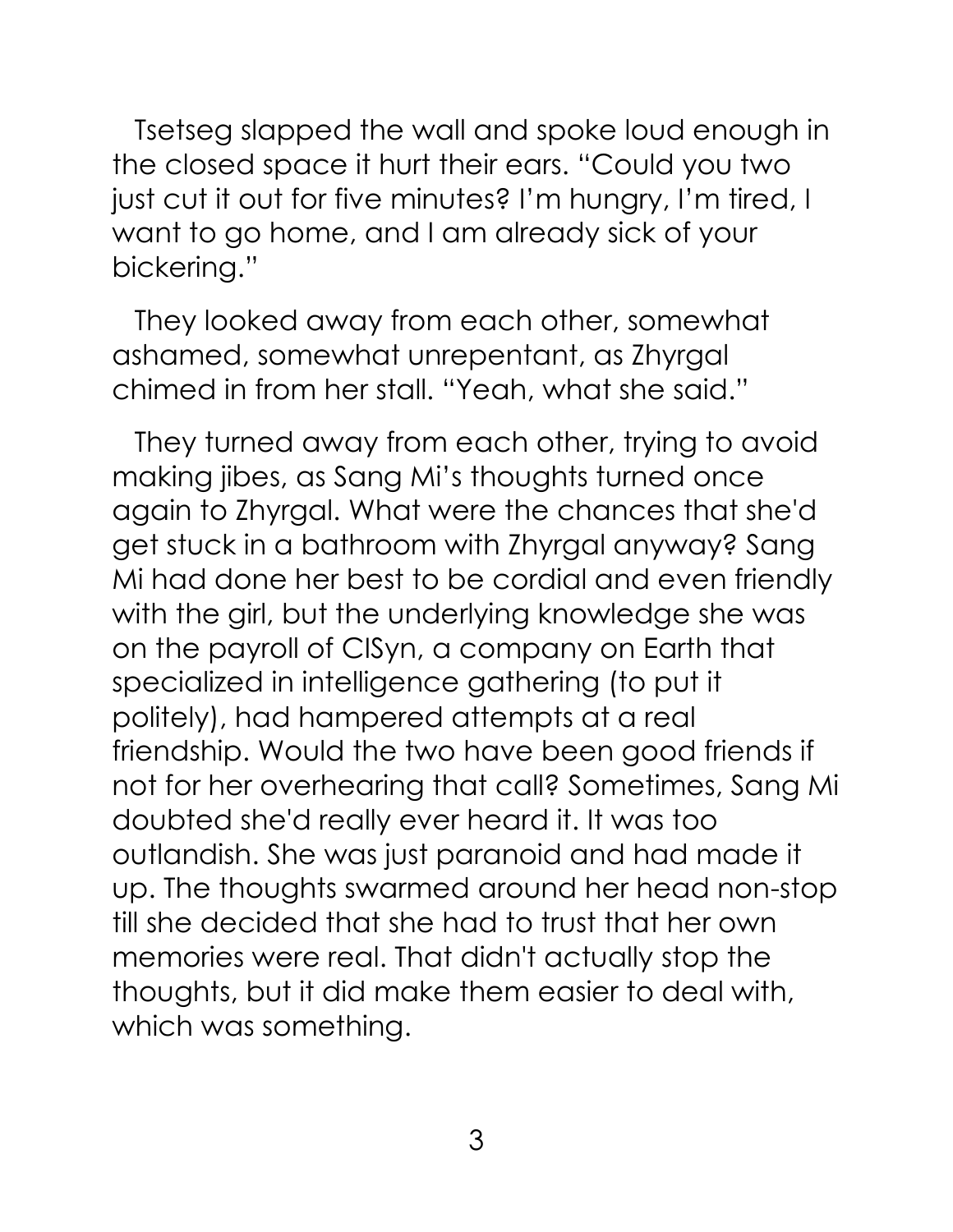Tsetseg slapped the wall and spoke loud enough in the closed space it hurt their ears. "Could you two just cut it out for five minutes? I'm hungry, I'm tired, I want to go home, and I am already sick of your bickering."

They looked away from each other, somewhat ashamed, somewhat unrepentant, as Zhyrgal chimed in from her stall. "Yeah, what she said."

They turned away from each other, trying to avoid making jibes, as Sang Mi's thoughts turned once again to Zhyrgal. What were the chances that she'd get stuck in a bathroom with Zhyrgal anyway? Sang Mi had done her best to be cordial and even friendly with the girl, but the underlying knowledge she was on the payroll of CISyn, a company on Earth that specialized in intelligence gathering (to put it politely), had hampered attempts at a real friendship. Would the two have been good friends if not for her overhearing that call? Sometimes, Sang Mi doubted she'd really ever heard it. It was too outlandish. She was just paranoid and had made it up. The thoughts swarmed around her head non-stop till she decided that she had to trust that her own memories were real. That didn't actually stop the thoughts, but it did make them easier to deal with, which was something.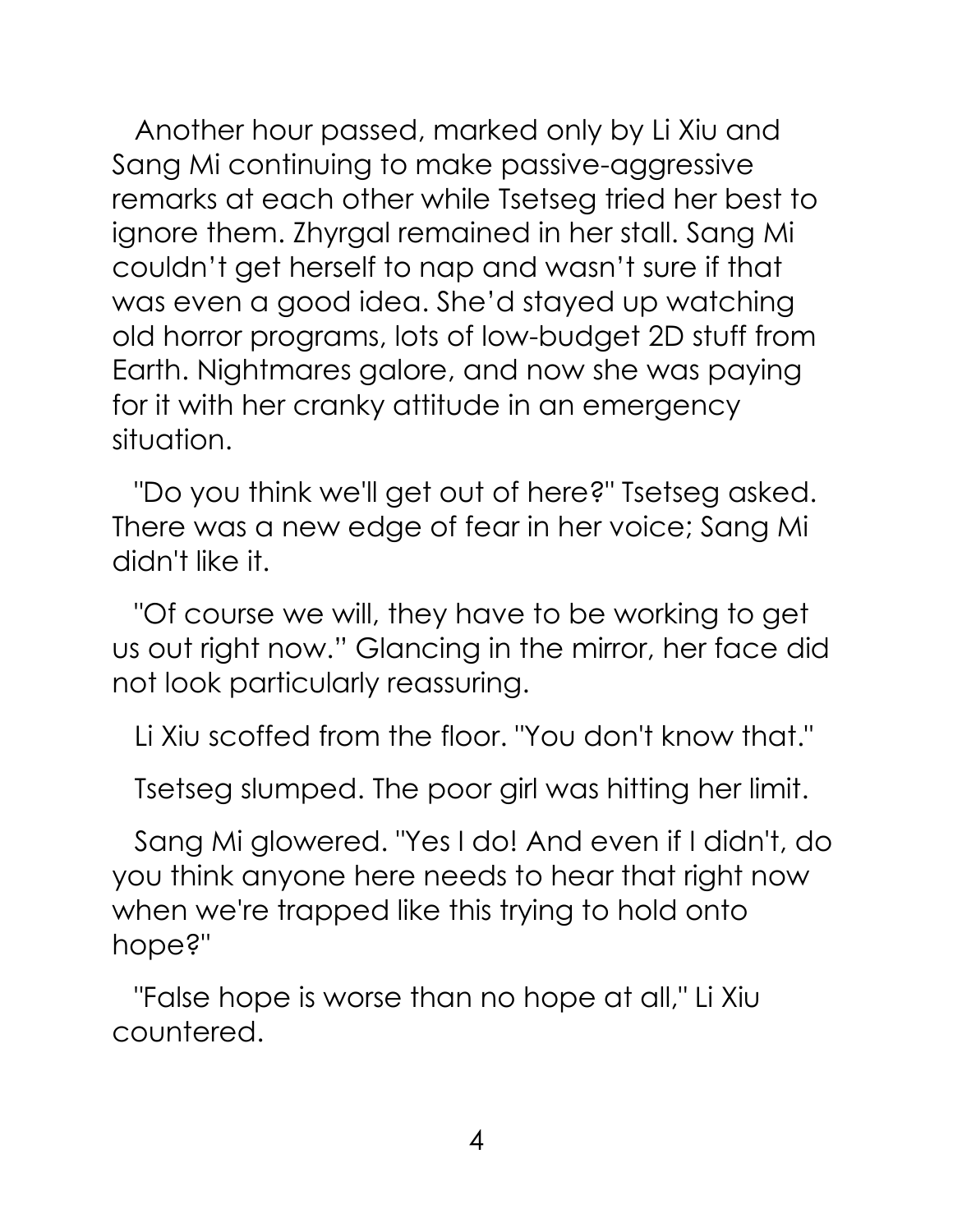Another hour passed, marked only by Li Xiu and Sang Mi continuing to make passive-aggressive remarks at each other while Tsetseg tried her best to ignore them. Zhyrgal remained in her stall. Sang Mi couldn't get herself to nap and wasn't sure if that was even a good idea. She'd stayed up watching old horror programs, lots of low-budget 2D stuff from Earth. Nightmares galore, and now she was paying for it with her cranky attitude in an emergency situation.

"Do you think we'll get out of here?" Tsetseg asked. There was a new edge of fear in her voice; Sang Mi didn't like it.

"Of course we will, they have to be working to get us out right now." Glancing in the mirror, her face did not look particularly reassuring.

Li Xiu scoffed from the floor. "You don't know that."

Tsetseg slumped. The poor girl was hitting her limit.

Sang Mi glowered. "Yes I do! And even if I didn't, do you think anyone here needs to hear that right now when we're trapped like this trying to hold onto hope?"

"False hope is worse than no hope at all," Li Xiu countered.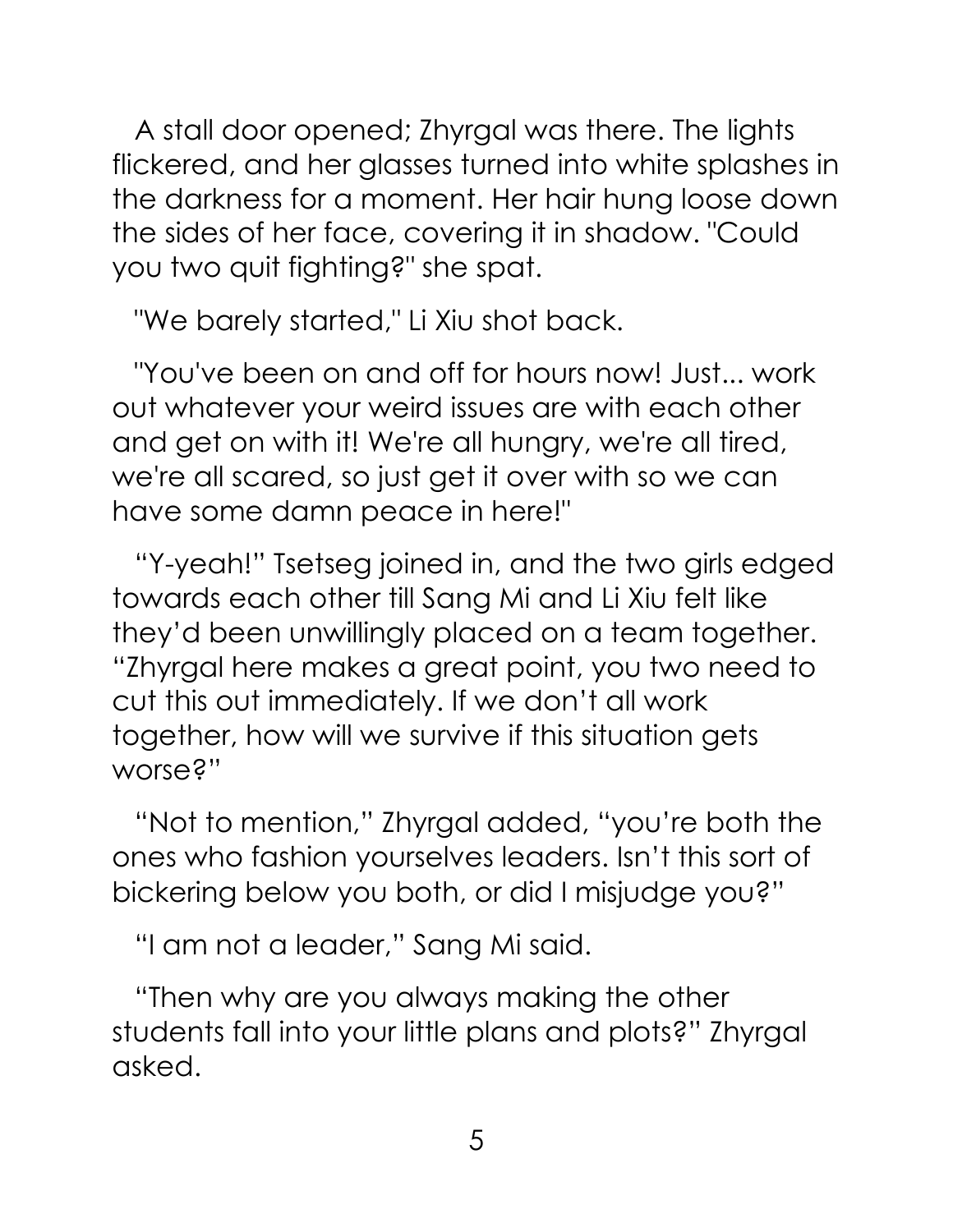A stall door opened; Zhyrgal was there. The lights flickered, and her glasses turned into white splashes in the darkness for a moment. Her hair hung loose down the sides of her face, covering it in shadow. "Could you two quit fighting?" she spat.

"We barely started," Li Xiu shot back.

"You've been on and off for hours now! Just... work out whatever your weird issues are with each other and get on with it! We're all hungry, we're all tired, we're all scared, so just get it over with so we can have some damn peace in here!"

"Y-yeah!" Tsetseg joined in, and the two girls edged towards each other till Sang Mi and Li Xiu felt like they'd been unwillingly placed on a team together. "Zhyrgal here makes a great point, you two need to cut this out immediately. If we don't all work together, how will we survive if this situation gets worse?"

"Not to mention," Zhyrgal added, "you're both the ones who fashion yourselves leaders. Isn't this sort of bickering below you both, or did I misjudge you?"

"I am not a leader," Sang Mi said.

"Then why are you always making the other students fall into your little plans and plots?" Zhyrgal asked.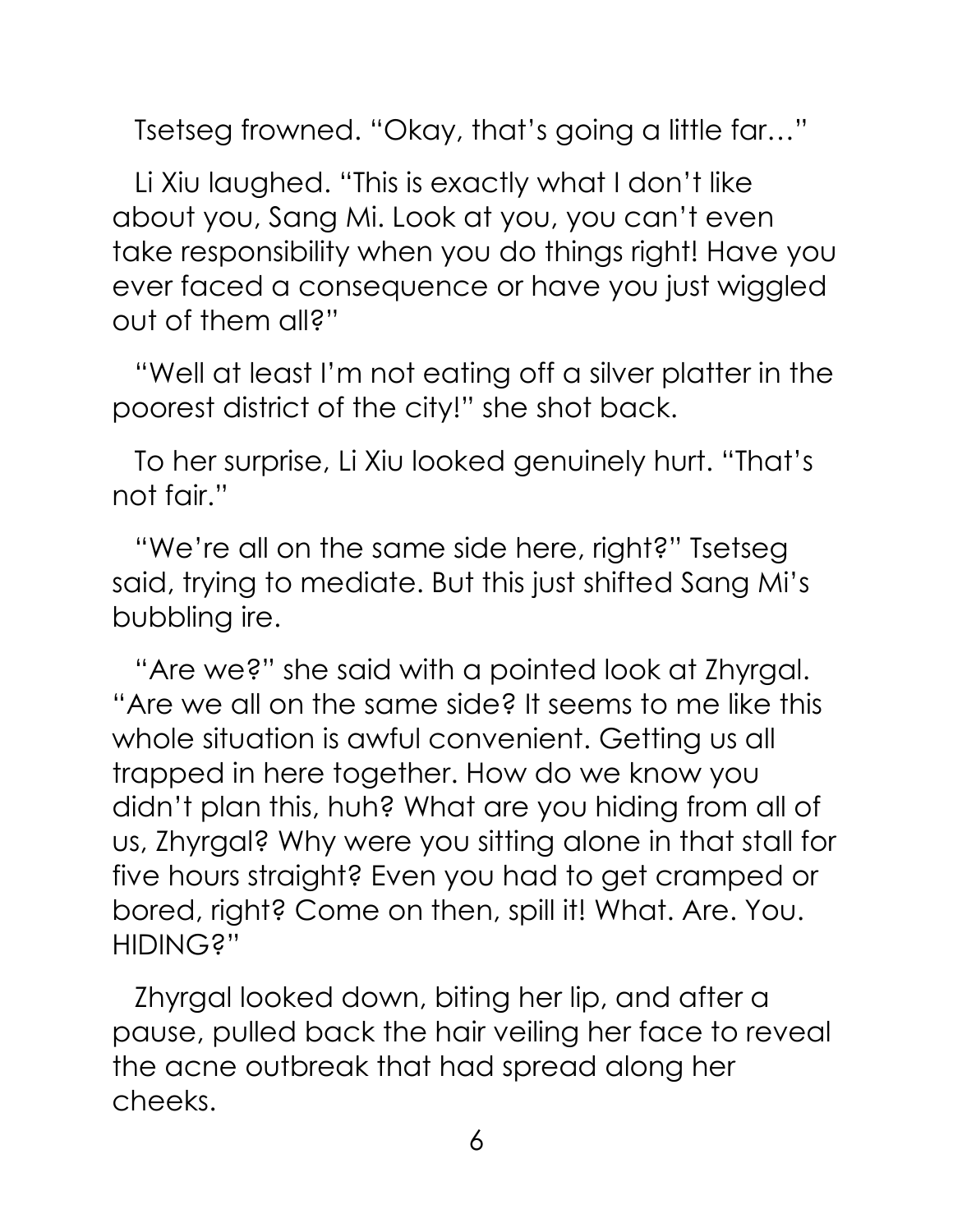Tsetseg frowned. "Okay, that's going a little far…"

Li Xiu laughed. "This is exactly what I don't like about you, Sang Mi. Look at you, you can't even take responsibility when you do things right! Have you ever faced a consequence or have you just wiggled out of them all?"

"Well at least I'm not eating off a silver platter in the poorest district of the city!" she shot back.

To her surprise, Li Xiu looked genuinely hurt. "That's not fair."

"We're all on the same side here, right?" Tsetseg said, trying to mediate. But this just shifted Sang Mi's bubbling ire.

"Are we?" she said with a pointed look at Zhyrgal. "Are we all on the same side? It seems to me like this whole situation is awful convenient. Getting us all trapped in here together. How do we know you didn't plan this, huh? What are you hiding from all of us, Zhyrgal? Why were you sitting alone in that stall for five hours straight? Even you had to get cramped or bored, right? Come on then, spill it! What. Are. You. HIDING?"

Zhyrgal looked down, biting her lip, and after a pause, pulled back the hair veiling her face to reveal the acne outbreak that had spread along her cheeks.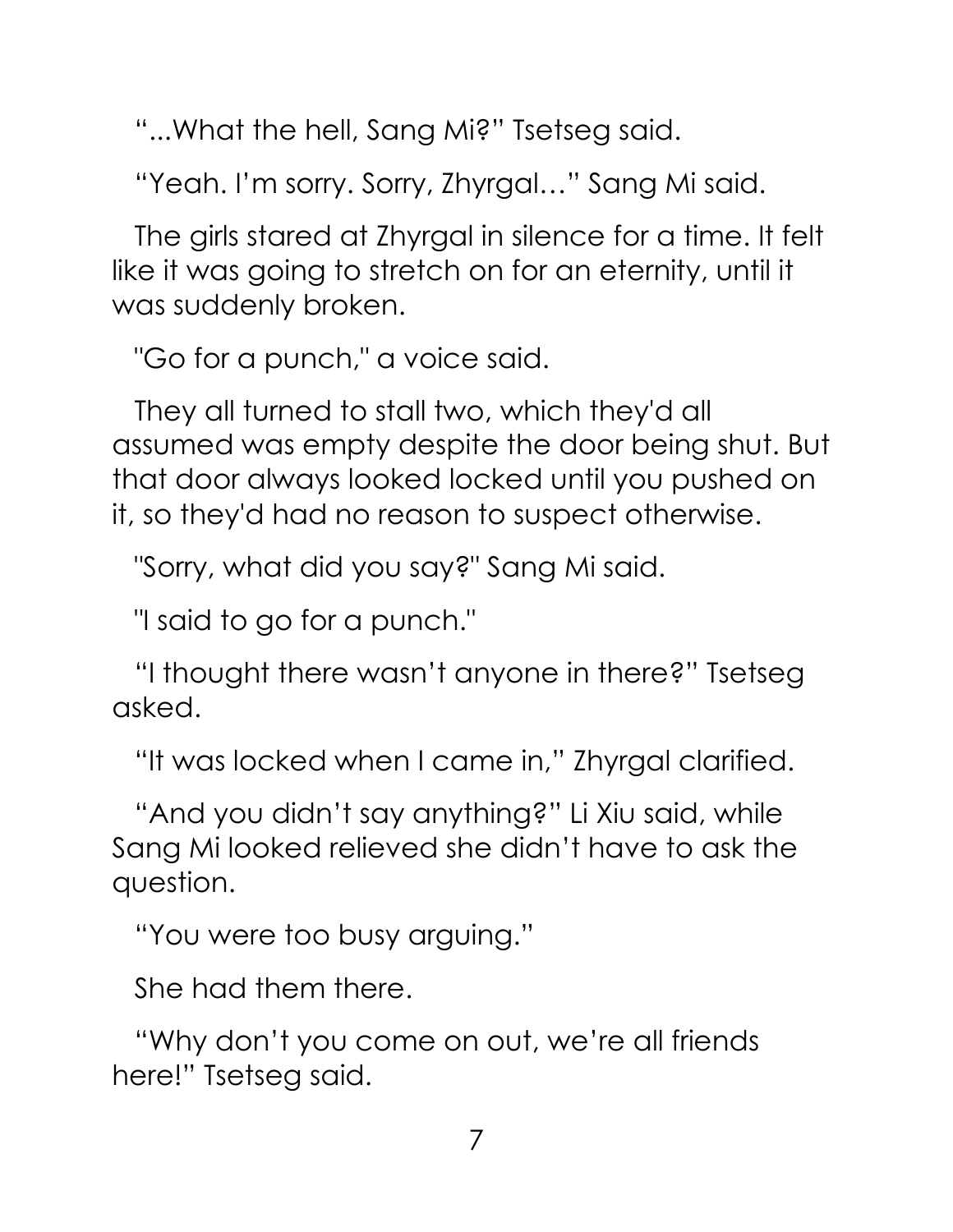"...What the hell, Sang Mi?" Tsetseg said.

"Yeah. I'm sorry. Sorry, Zhyrgal…" Sang Mi said.

The girls stared at Zhyrgal in silence for a time. It felt like it was going to stretch on for an eternity, until it was suddenly broken.

"Go for a punch," a voice said.

They all turned to stall two, which they'd all assumed was empty despite the door being shut. But that door always looked locked until you pushed on it, so they'd had no reason to suspect otherwise.

"Sorry, what did you say?" Sang Mi said.

"I said to go for a punch."

"I thought there wasn't anyone in there?" Tsetseg asked.

"It was locked when I came in," Zhyrgal clarified.

"And you didn't say anything?" Li Xiu said, while Sang Mi looked relieved she didn't have to ask the question.

"You were too busy arguing."

She had them there.

"Why don't you come on out, we're all friends here!" Tsetseg said.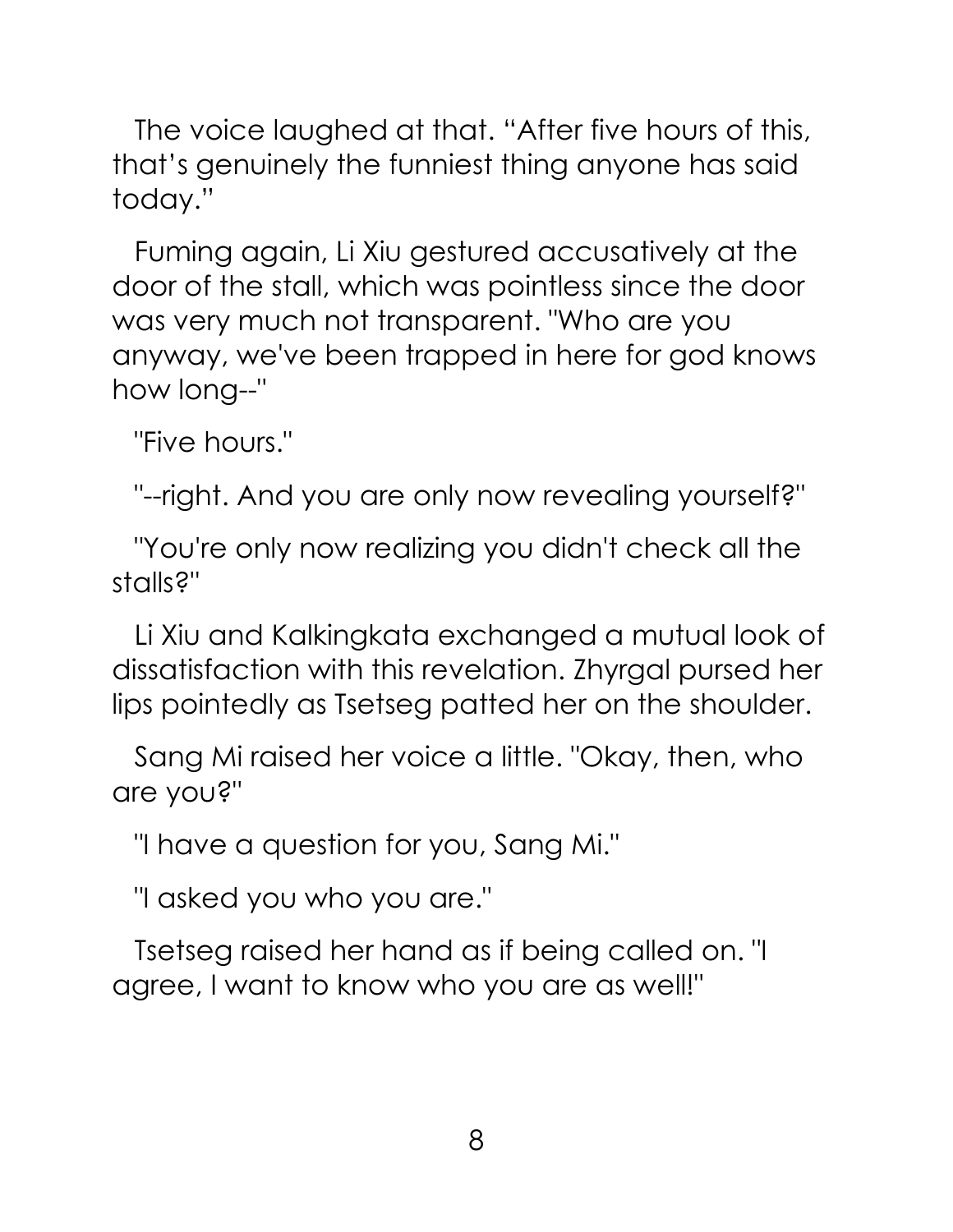The voice laughed at that. "After five hours of this, that's genuinely the funniest thing anyone has said today."

Fuming again, Li Xiu gestured accusatively at the door of the stall, which was pointless since the door was very much not transparent. "Who are you anyway, we've been trapped in here for god knows how long--"

"Five hours."

"--right. And you are only now revealing yourself?"

"You're only now realizing you didn't check all the stalls?"

Li Xiu and Kalkingkata exchanged a mutual look of dissatisfaction with this revelation. Zhyrgal pursed her lips pointedly as Tsetseg patted her on the shoulder.

Sang Mi raised her voice a little. "Okay, then, who are you?"

"I have a question for you, Sang Mi."

"I asked you who you are."

Tsetseg raised her hand as if being called on. "I agree, I want to know who you are as well!"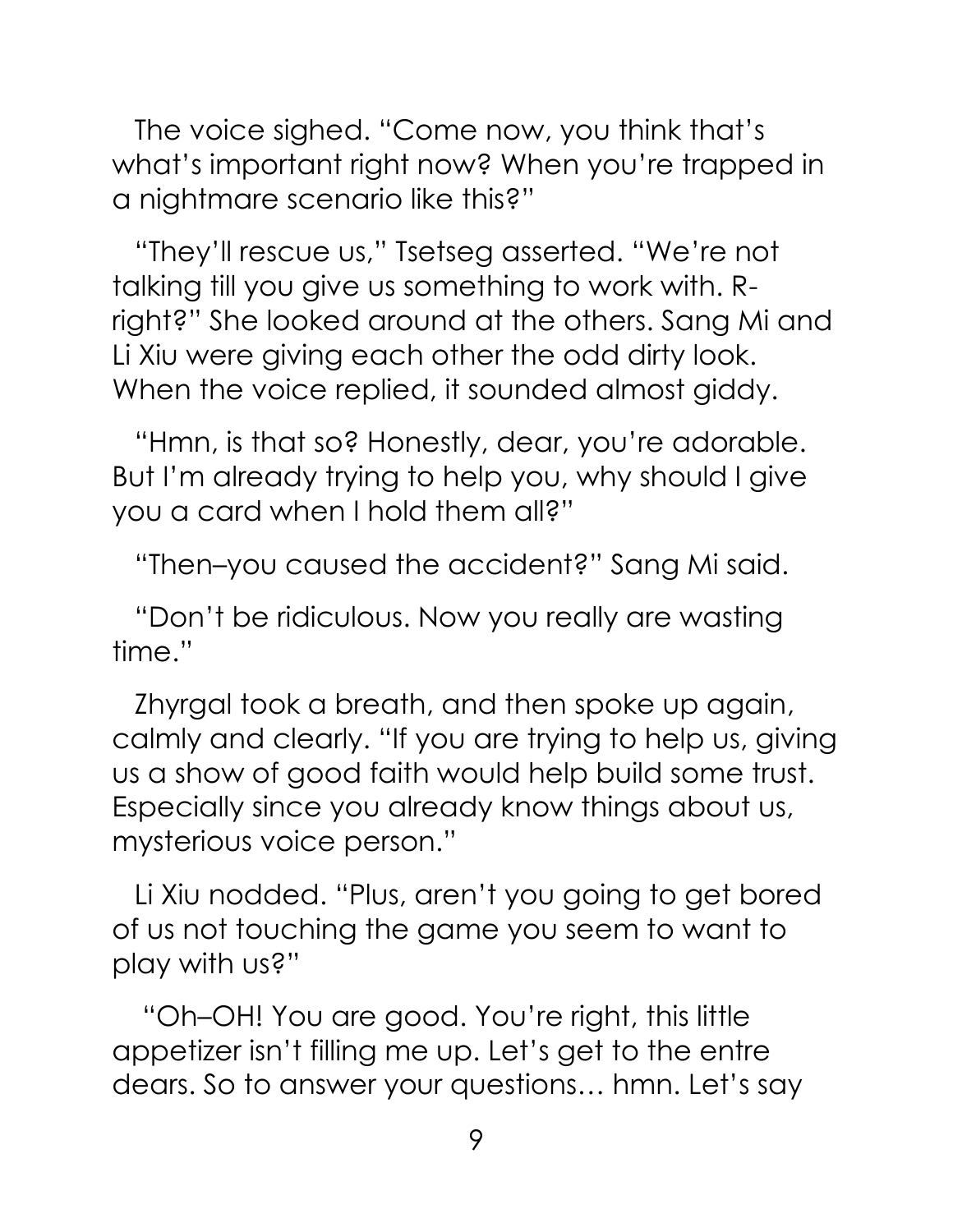The voice sighed. "Come now, you think that's what's important right now? When you're trapped in a nightmare scenario like this?"

"They'll rescue us," Tsetseg asserted. "We're not talking till you give us something to work with. Rright?" She looked around at the others. Sang Mi and Li Xiu were giving each other the odd dirty look. When the voice replied, it sounded almost giddy.

"Hmn, is that so? Honestly, dear, you're adorable. But I'm already trying to help you, why should I give you a card when I hold them all?"

"Then–you caused the accident?" Sang Mi said.

"Don't be ridiculous. Now you really are wasting time."

Zhyrgal took a breath, and then spoke up again, calmly and clearly. "If you are trying to help us, giving us a show of good faith would help build some trust. Especially since you already know things about us, mysterious voice person."

Li Xiu nodded. "Plus, aren't you going to get bored of us not touching the game you seem to want to play with us?"

"Oh–OH! You are good. You're right, this little appetizer isn't filling me up. Let's get to the entre dears. So to answer your questions… hmn. Let's say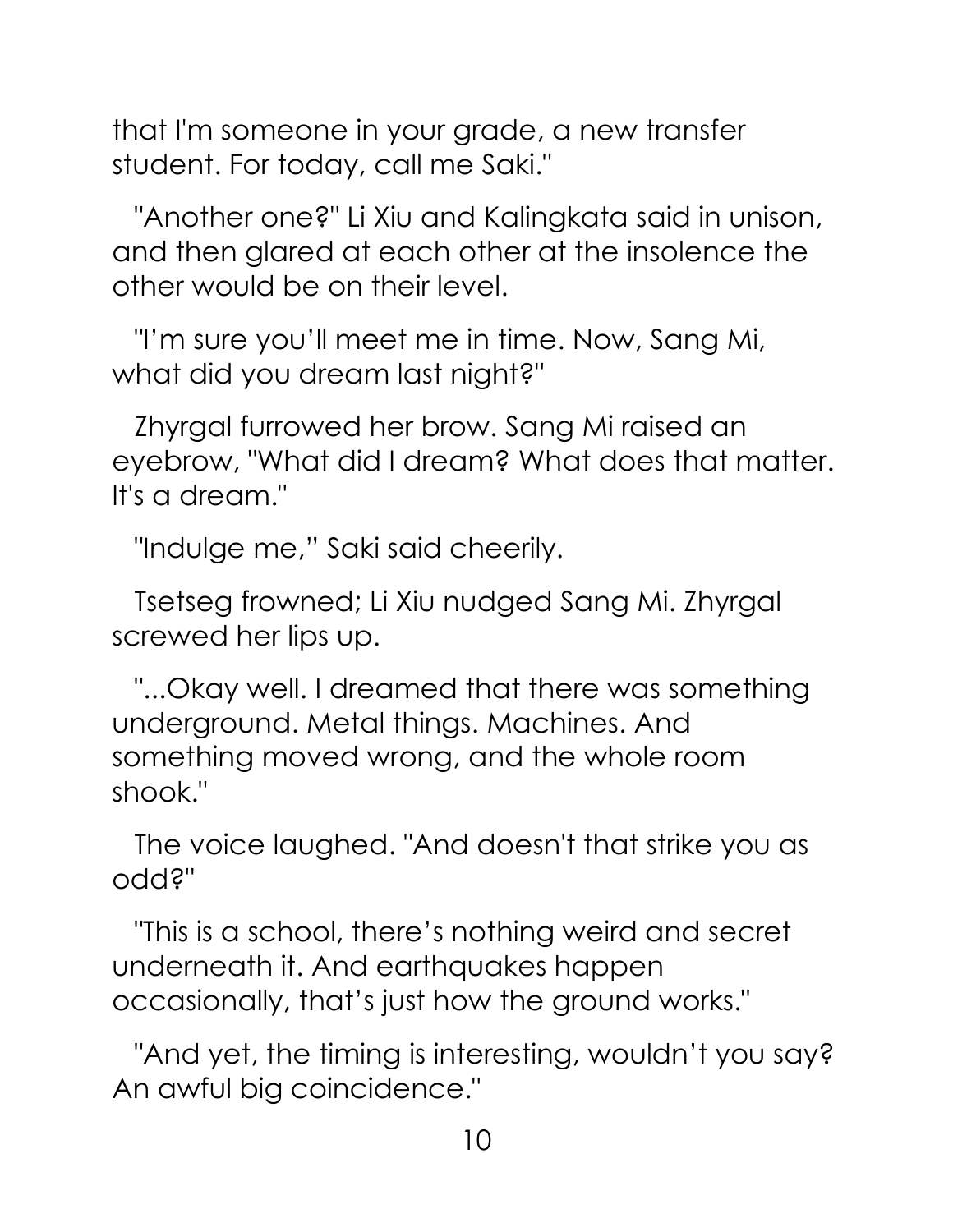that I'm someone in your grade, a new transfer student. For today, call me Saki."

"Another one?" Li Xiu and Kalingkata said in unison, and then glared at each other at the insolence the other would be on their level.

"I'm sure you'll meet me in time. Now, Sang Mi, what did you dream last night?"

Zhyrgal furrowed her brow. Sang Mi raised an eyebrow, "What did I dream? What does that matter. It's a dream."

"Indulge me," Saki said cheerily.

Tsetseg frowned; Li Xiu nudged Sang Mi. Zhyrgal screwed her lips up.

"...Okay well. I dreamed that there was something underground. Metal things. Machines. And something moved wrong, and the whole room shook."

The voice laughed. "And doesn't that strike you as odd?"

"This is a school, there's nothing weird and secret underneath it. And earthquakes happen occasionally, that's just how the ground works."

"And yet, the timing is interesting, wouldn't you say? An awful big coincidence."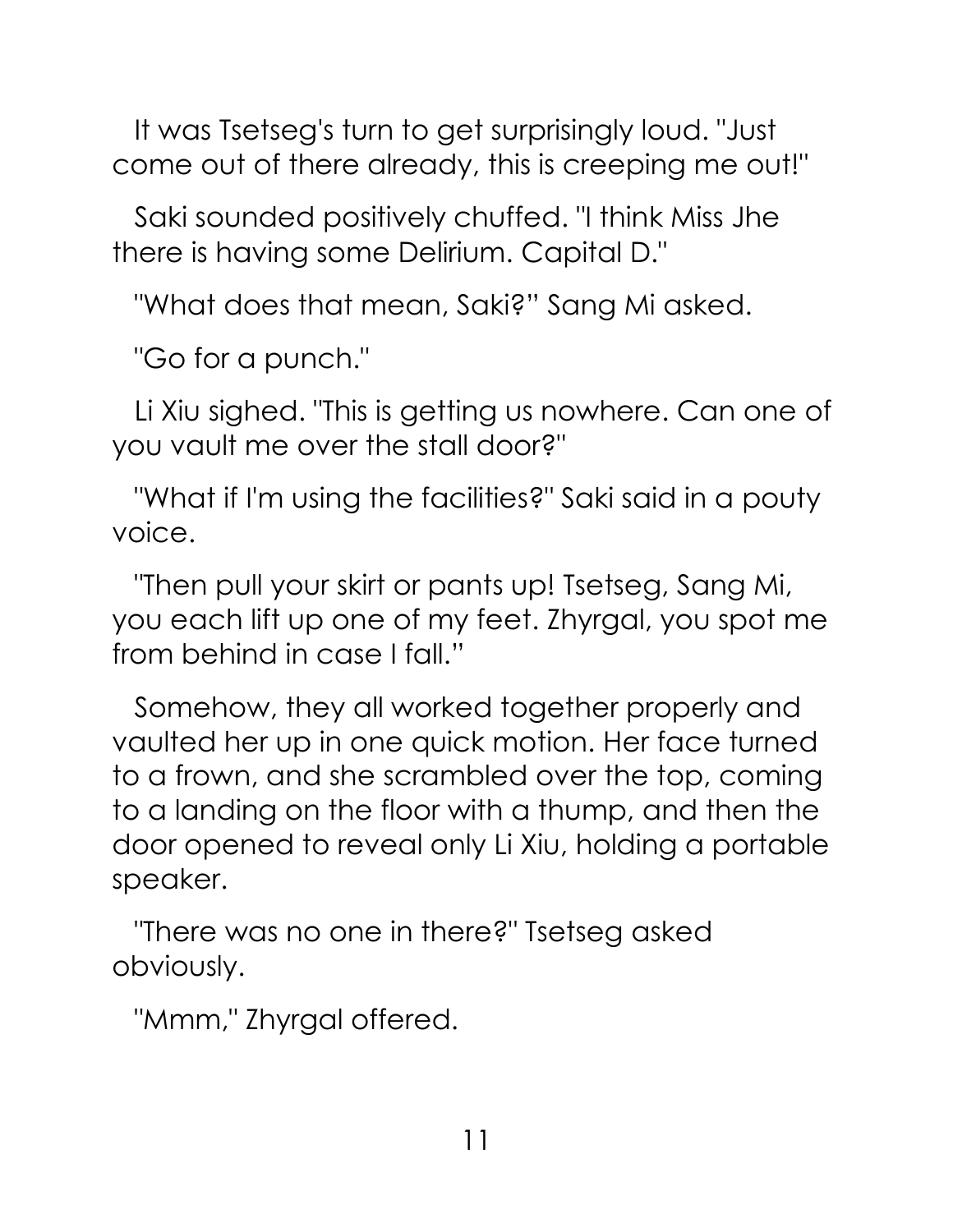It was Tsetseg's turn to get surprisingly loud. "Just come out of there already, this is creeping me out!"

Saki sounded positively chuffed. "I think Miss Jhe there is having some Delirium. Capital D."

"What does that mean, Saki?" Sang Mi asked.

"Go for a punch."

Li Xiu sighed. "This is getting us nowhere. Can one of you vault me over the stall door?"

"What if I'm using the facilities?" Saki said in a pouty voice.

"Then pull your skirt or pants up! Tsetseg, Sang Mi, you each lift up one of my feet. Zhyrgal, you spot me from behind in case I fall."

Somehow, they all worked together properly and vaulted her up in one quick motion. Her face turned to a frown, and she scrambled over the top, coming to a landing on the floor with a thump, and then the door opened to reveal only Li Xiu, holding a portable speaker.

"There was no one in there?" Tsetseg asked obviously.

"Mmm," Zhyrgal offered.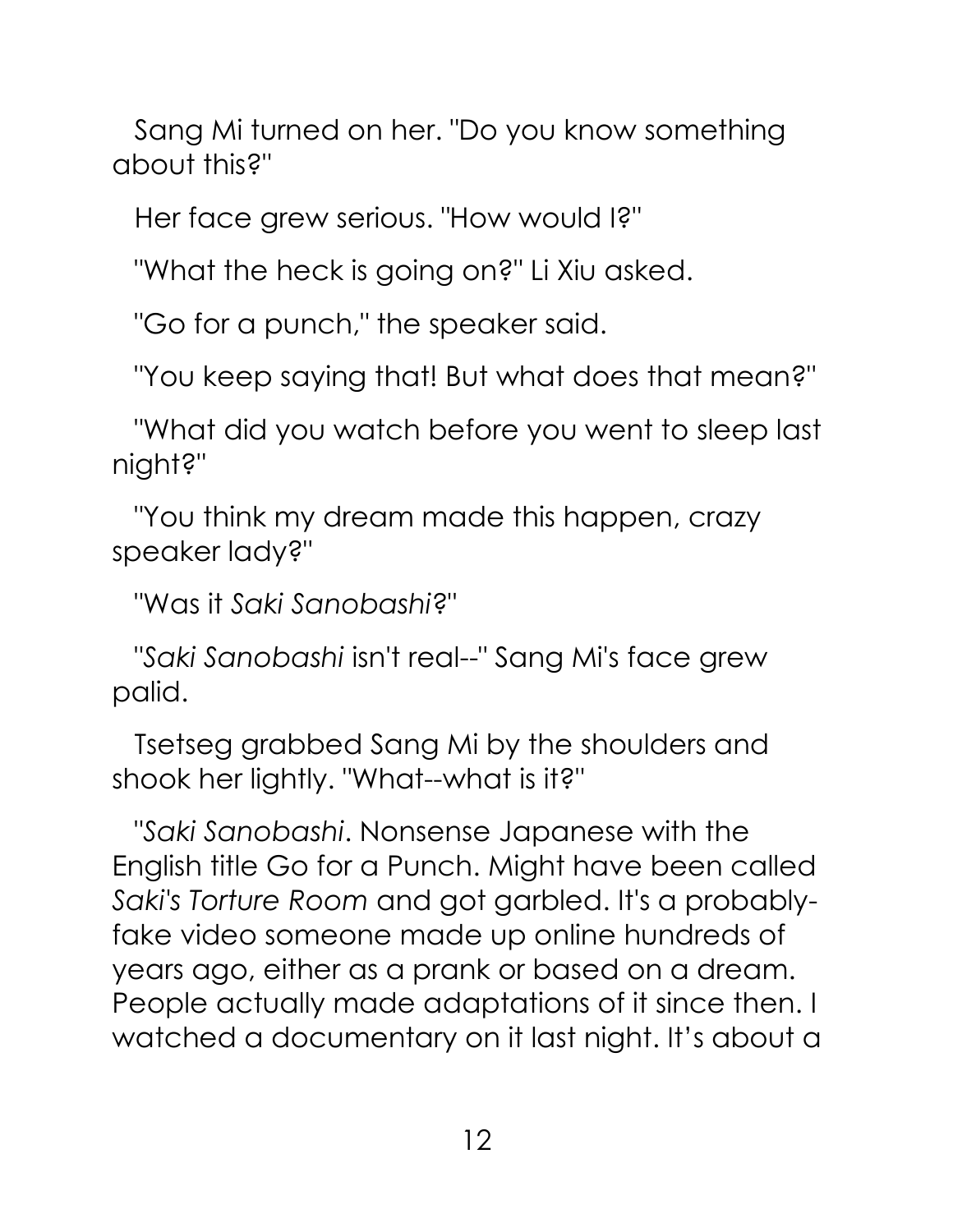Sang Mi turned on her. "Do you know something about this?"

Her face grew serious. "How would I?"

"What the heck is going on?" Li Xiu asked.

"Go for a punch," the speaker said.

"You keep saying that! But what does that mean?"

"What did you watch before you went to sleep last night?"

"You think my dream made this happen, crazy speaker lady?"

"Was it *Saki Sanobashi*?"

"*Saki Sanobashi* isn't real--" Sang Mi's face grew palid.

Tsetseg grabbed Sang Mi by the shoulders and shook her lightly. "What--what is it?"

"*Saki Sanobashi*. Nonsense Japanese with the English title Go for a Punch. Might have been called *Saki's Torture Room* and got garbled. It's a probablyfake video someone made up online hundreds of years ago, either as a prank or based on a dream. People actually made adaptations of it since then. I watched a documentary on it last night. It's about a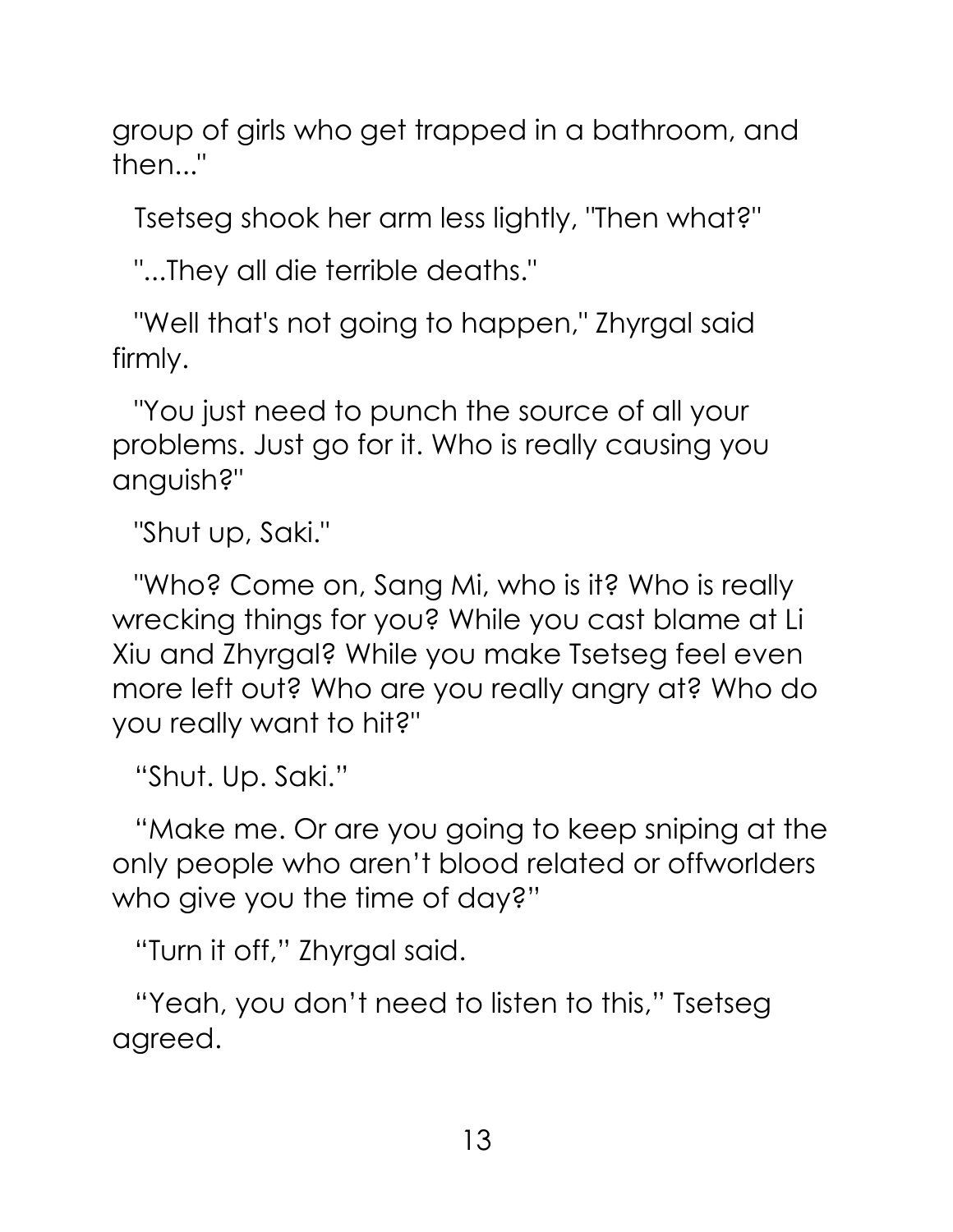group of girls who get trapped in a bathroom, and then..."

Tsetseg shook her arm less lightly, "Then what?"

"...They all die terrible deaths."

"Well that's not going to happen," Zhyrgal said firmly.

"You just need to punch the source of all your problems. Just go for it. Who is really causing you anguish?"

"Shut up, Saki."

"Who? Come on, Sang Mi, who is it? Who is really wrecking things for you? While you cast blame at Li Xiu and Zhyrgal? While you make Tsetseg feel even more left out? Who are you really angry at? Who do you really want to hit?"

"Shut. Up. Saki."

"Make me. Or are you going to keep sniping at the only people who aren't blood related or offworlders who give you the time of day?"

"Turn it off," Zhyrgal said.

"Yeah, you don't need to listen to this," Tsetseg agreed.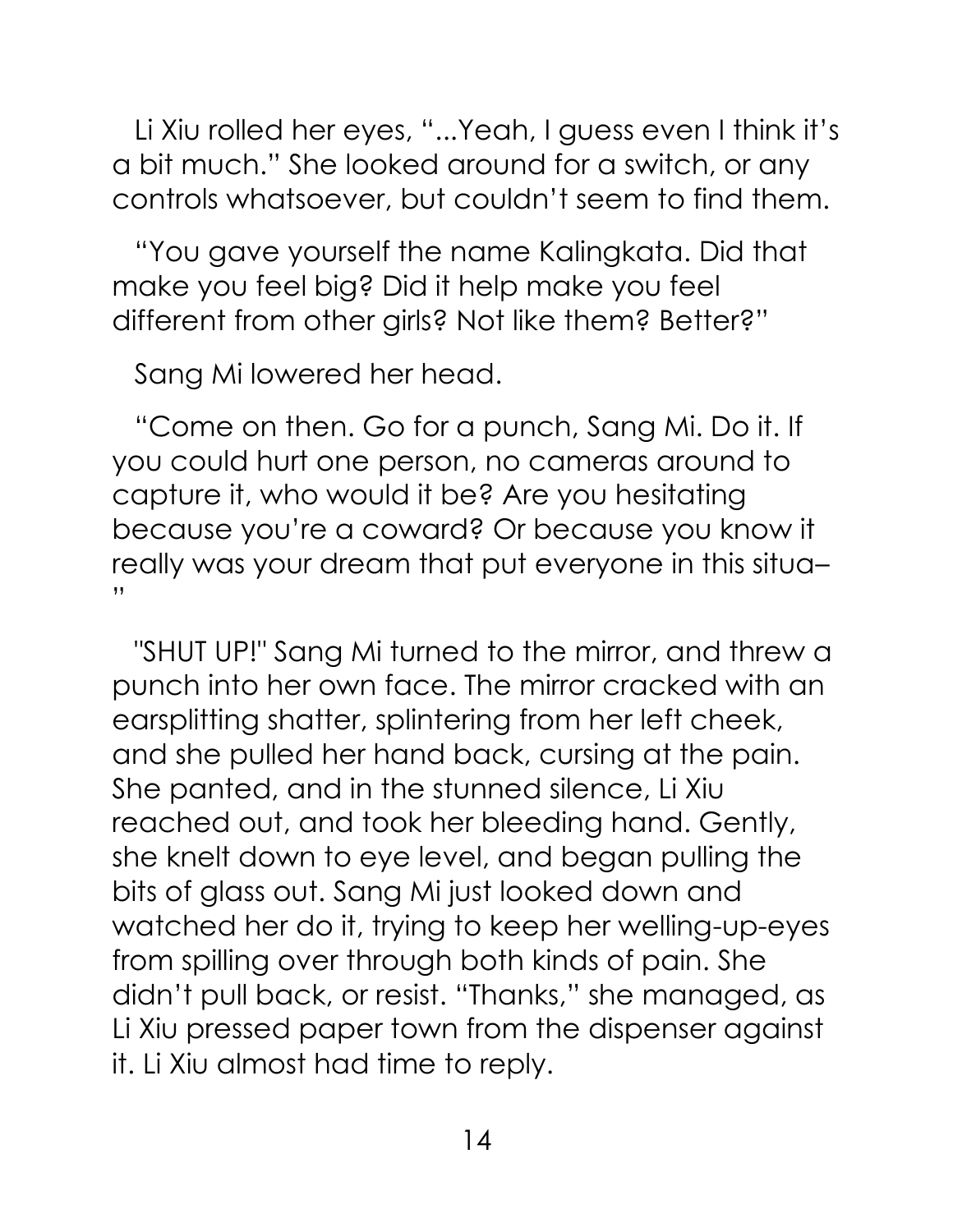Li Xiu rolled her eyes, "...Yeah, I guess even I think it's a bit much." She looked around for a switch, or any controls whatsoever, but couldn't seem to find them.

"You gave yourself the name Kalingkata. Did that make you feel big? Did it help make you feel different from other girls? Not like them? Better?"

Sang Mi lowered her head.

"Come on then. Go for a punch, Sang Mi. Do it. If you could hurt one person, no cameras around to capture it, who would it be? Are you hesitating because you're a coward? Or because you know it really was your dream that put everyone in this situa– "

"SHUT UP!" Sang Mi turned to the mirror, and threw a punch into her own face. The mirror cracked with an earsplitting shatter, splintering from her left cheek, and she pulled her hand back, cursing at the pain. She panted, and in the stunned silence, Li Xiu reached out, and took her bleeding hand. Gently, she knelt down to eye level, and began pulling the bits of glass out. Sang Mi just looked down and watched her do it, trying to keep her welling-up-eyes from spilling over through both kinds of pain. She didn't pull back, or resist. "Thanks," she managed, as Li Xiu pressed paper town from the dispenser against it. Li Xiu almost had time to reply.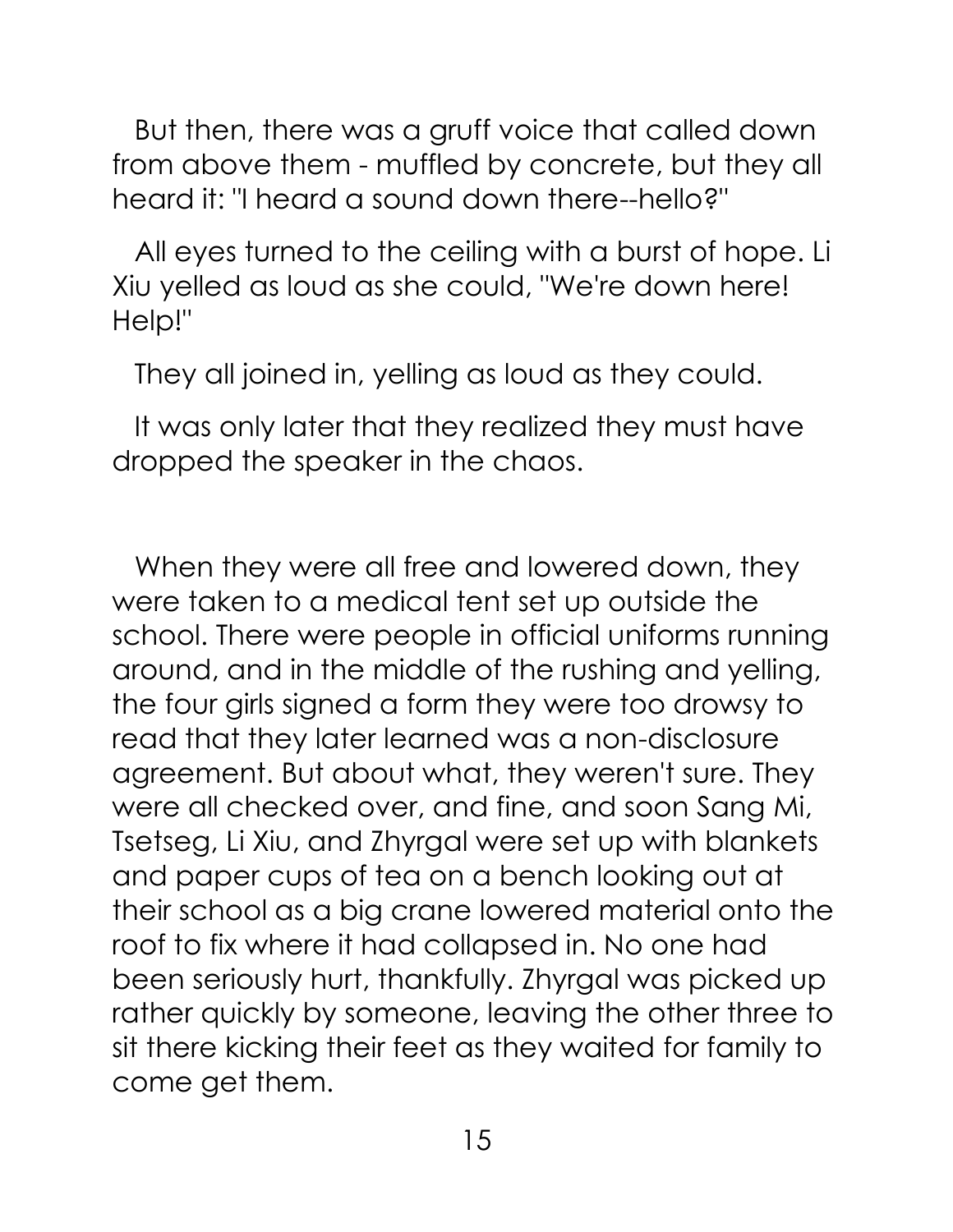But then, there was a gruff voice that called down from above them - muffled by concrete, but they all heard it: "I heard a sound down there--hello?"

All eyes turned to the ceiling with a burst of hope. Li Xiu yelled as loud as she could, "We're down here! Help!"

They all joined in, yelling as loud as they could.

It was only later that they realized they must have dropped the speaker in the chaos.

When they were all free and lowered down, they were taken to a medical tent set up outside the school. There were people in official uniforms running around, and in the middle of the rushing and yelling, the four girls signed a form they were too drowsy to read that they later learned was a non-disclosure agreement. But about what, they weren't sure. They were all checked over, and fine, and soon Sang Mi, Tsetseg, Li Xiu, and Zhyrgal were set up with blankets and paper cups of tea on a bench looking out at their school as a big crane lowered material onto the roof to fix where it had collapsed in. No one had been seriously hurt, thankfully. Zhyrgal was picked up rather quickly by someone, leaving the other three to sit there kicking their feet as they waited for family to come get them.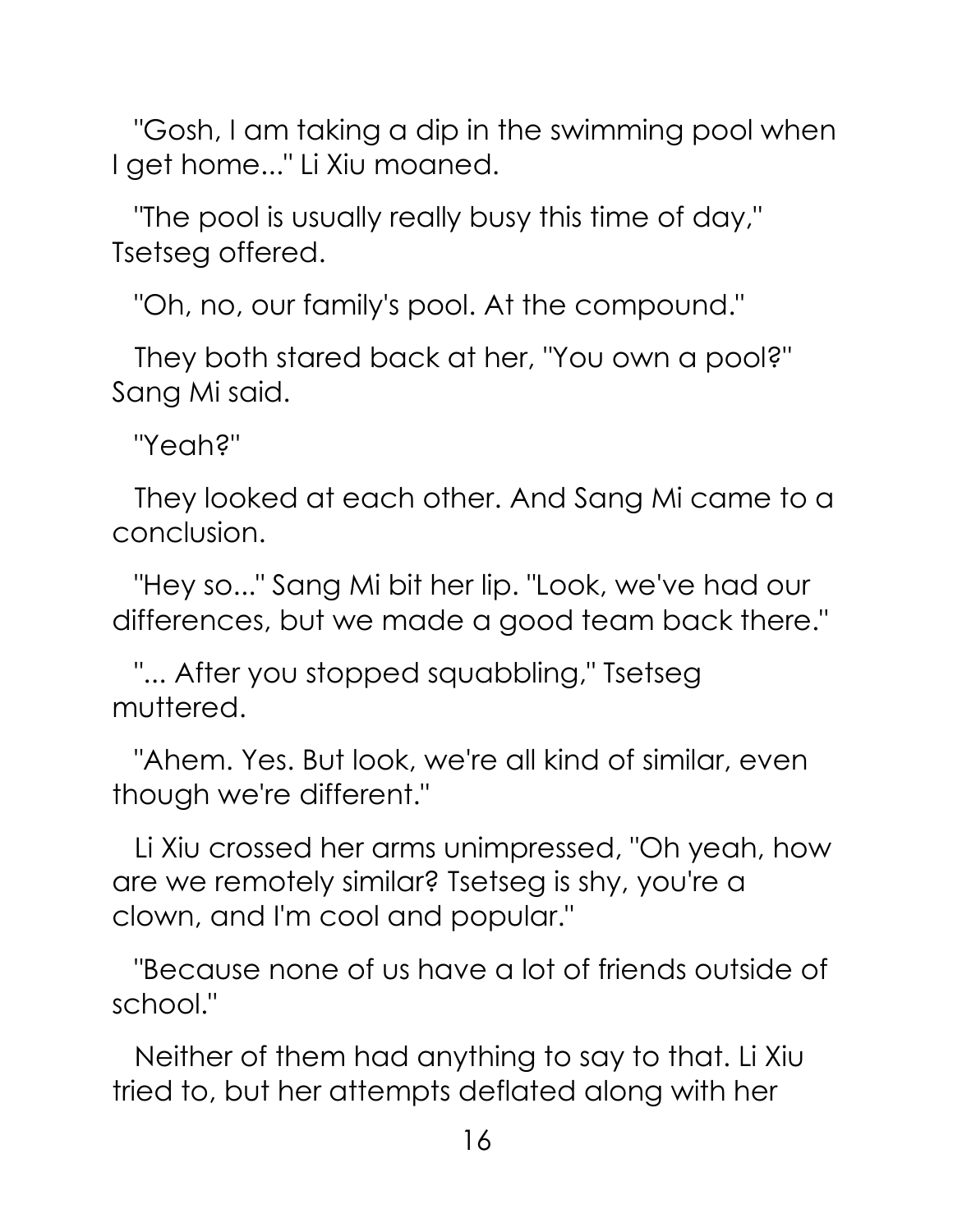"Gosh, I am taking a dip in the swimming pool when I get home..." Li Xiu moaned.

"The pool is usually really busy this time of day," Tsetseg offered.

"Oh, no, our family's pool. At the compound."

They both stared back at her, "You own a pool?" Sang Mi said.

"Yeah?"

They looked at each other. And Sang Mi came to a conclusion.

"Hey so..." Sang Mi bit her lip. "Look, we've had our differences, but we made a good team back there."

"... After you stopped squabbling," Tsetseg muttered.

"Ahem. Yes. But look, we're all kind of similar, even though we're different."

Li Xiu crossed her arms unimpressed, "Oh yeah, how are we remotely similar? Tsetseg is shy, you're a clown, and I'm cool and popular."

"Because none of us have a lot of friends outside of school."

Neither of them had anything to say to that. Li Xiu tried to, but her attempts deflated along with her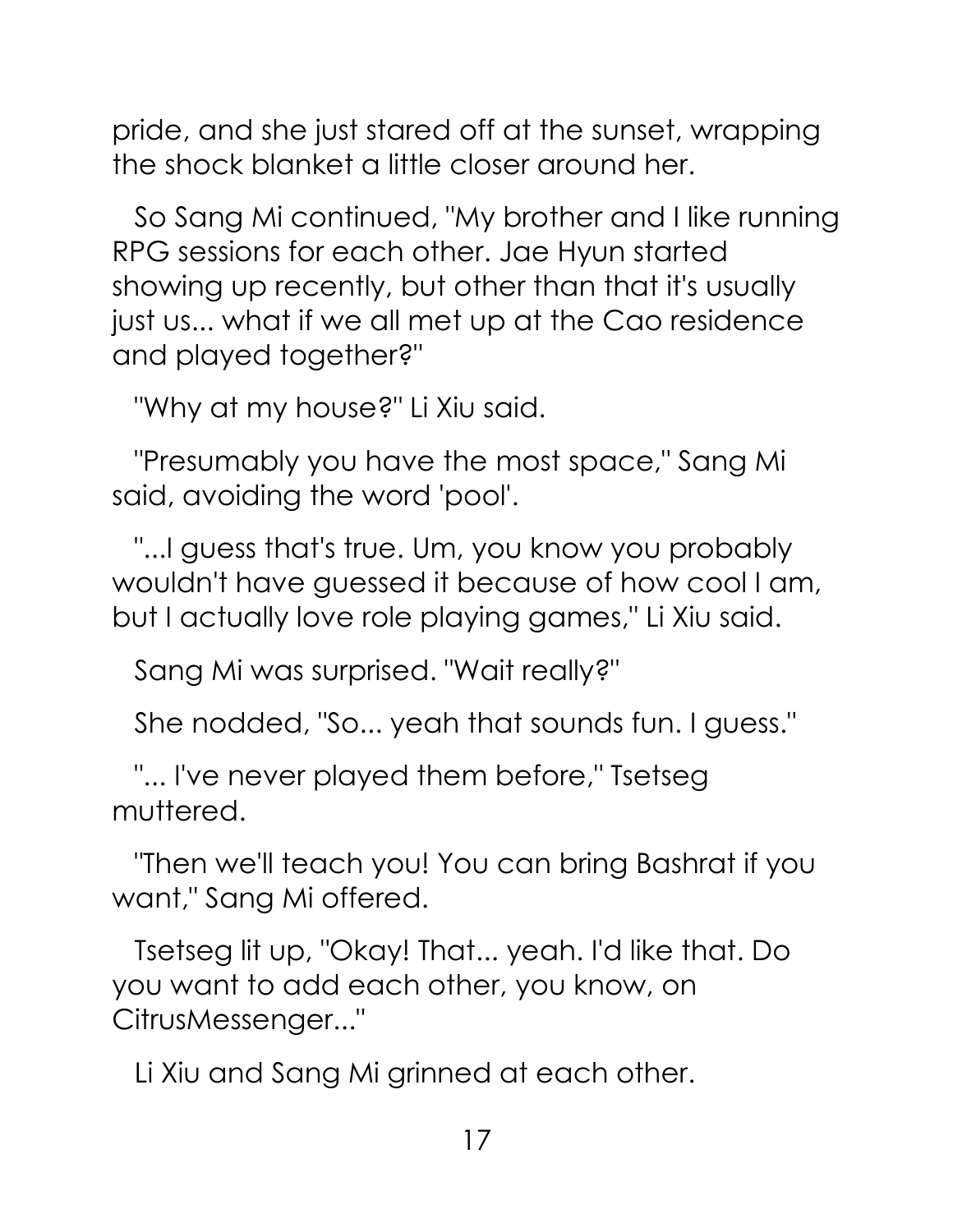pride, and she just stared off at the sunset, wrapping the shock blanket a little closer around her.

So Sang Mi continued, "My brother and I like running RPG sessions for each other. Jae Hyun started showing up recently, but other than that it's usually just us... what if we all met up at the Cao residence and played together?"

"Why at my house?" Li Xiu said.

"Presumably you have the most space," Sang Mi said, avoiding the word 'pool'.

"...I guess that's true. Um, you know you probably wouldn't have guessed it because of how cool I am, but I actually love role playing games," Li Xiu said.

Sang Mi was surprised. "Wait really?"

She nodded, "So... yeah that sounds fun. I guess."

"... I've never played them before," Tsetseg muttered.

"Then we'll teach you! You can bring Bashrat if you want," Sang Mi offered.

Tsetseg lit up, "Okay! That... yeah. I'd like that. Do you want to add each other, you know, on CitrusMessenger..."

Li Xiu and Sang Mi grinned at each other.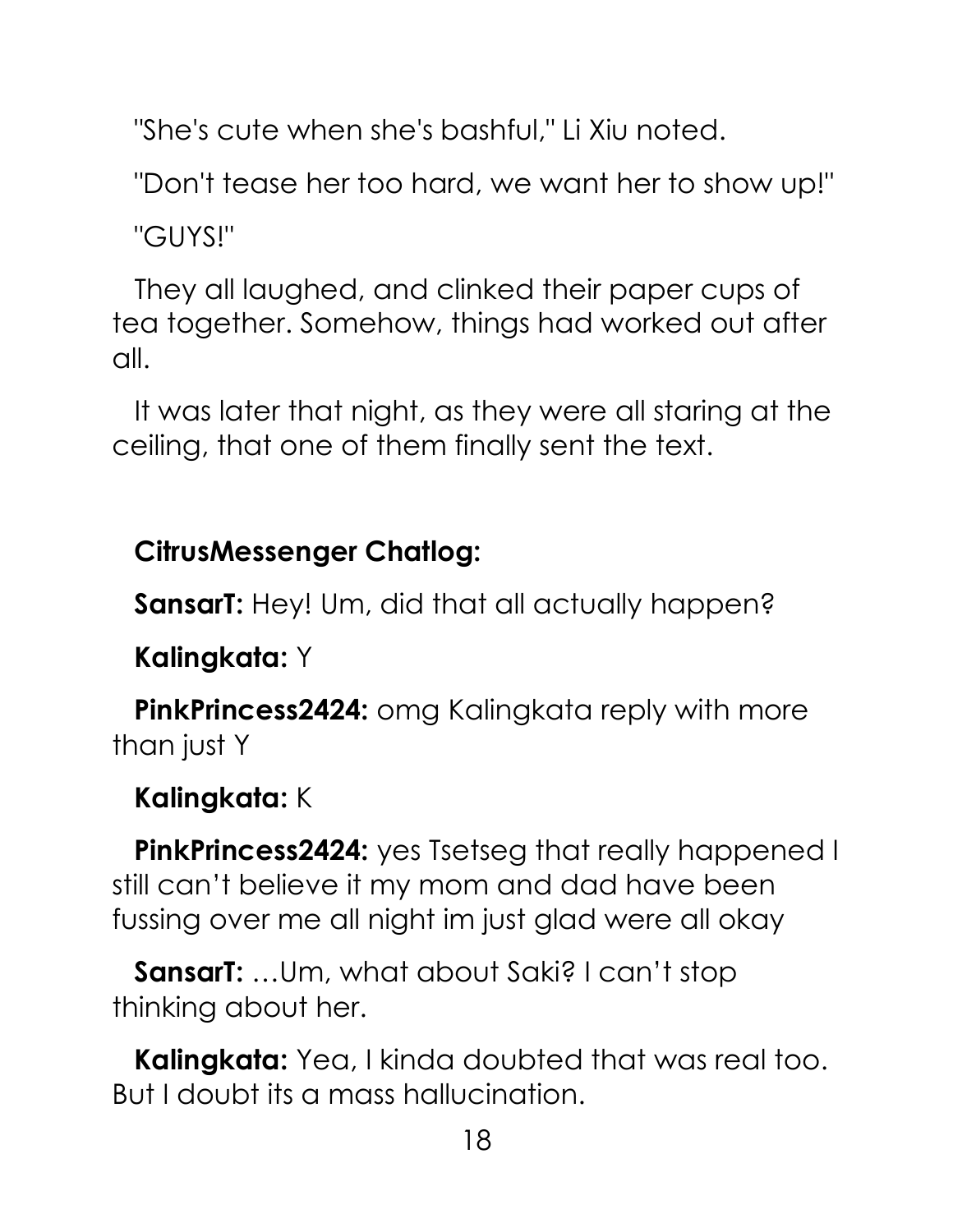"She's cute when she's bashful," Li Xiu noted.

"Don't tease her too hard, we want her to show up!"

"GUYS!"

They all laughed, and clinked their paper cups of tea together. Somehow, things had worked out after all.

It was later that night, as they were all staring at the ceiling, that one of them finally sent the text.

### **CitrusMessenger Chatlog:**

**SansarT:** Hey! Um, did that all actually happen?

**Kalingkata:** Y

**PinkPrincess2424:** omg Kalingkata reply with more than just Y

#### **Kalingkata:** K

**PinkPrincess2424:** yes Tsetseg that really happened I still can't believe it my mom and dad have been fussing over me all night im just glad were all okay

**SansarT:** …Um, what about Saki? I can't stop thinking about her.

**Kalingkata:** Yea, I kinda doubted that was real too. But I doubt its a mass hallucination.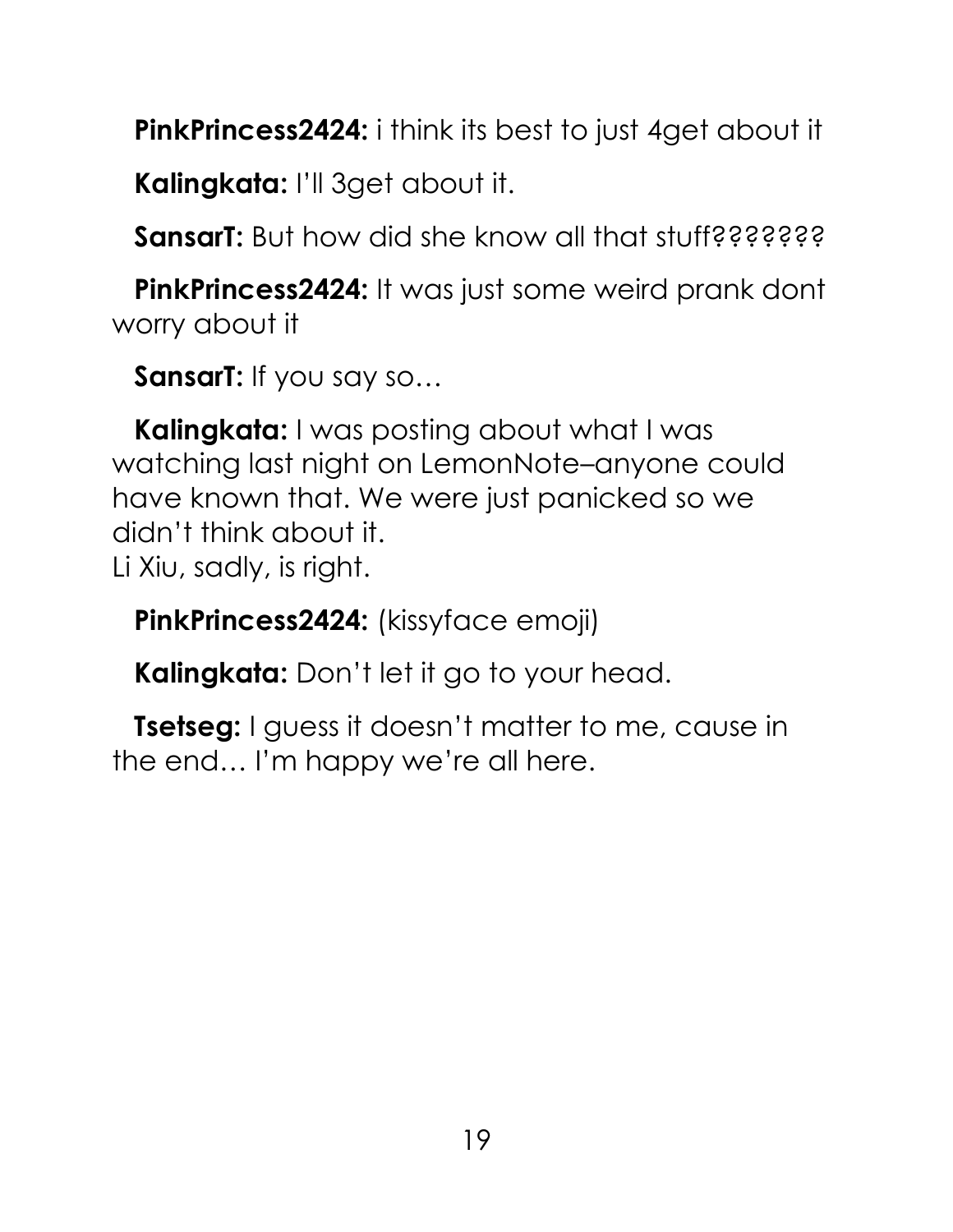**PinkPrincess2424:** i think its best to just 4get about it

**Kalingkata:** I'll 3get about it.

**SansarT:** But how did she know all that stuff????????

**PinkPrincess2424:** It was just some weird prank dont worry about it

**SansarT:** If you say so…

**Kalingkata:** I was posting about what I was watching last night on LemonNote–anyone could have known that. We were just panicked so we didn't think about it. Li Xiu, sadly, is right.

**PinkPrincess2424:** (kissyface emoji)

**Kalingkata:** Don't let it go to your head.

**Tsetseg:** I guess it doesn't matter to me, cause in the end… I'm happy we're all here.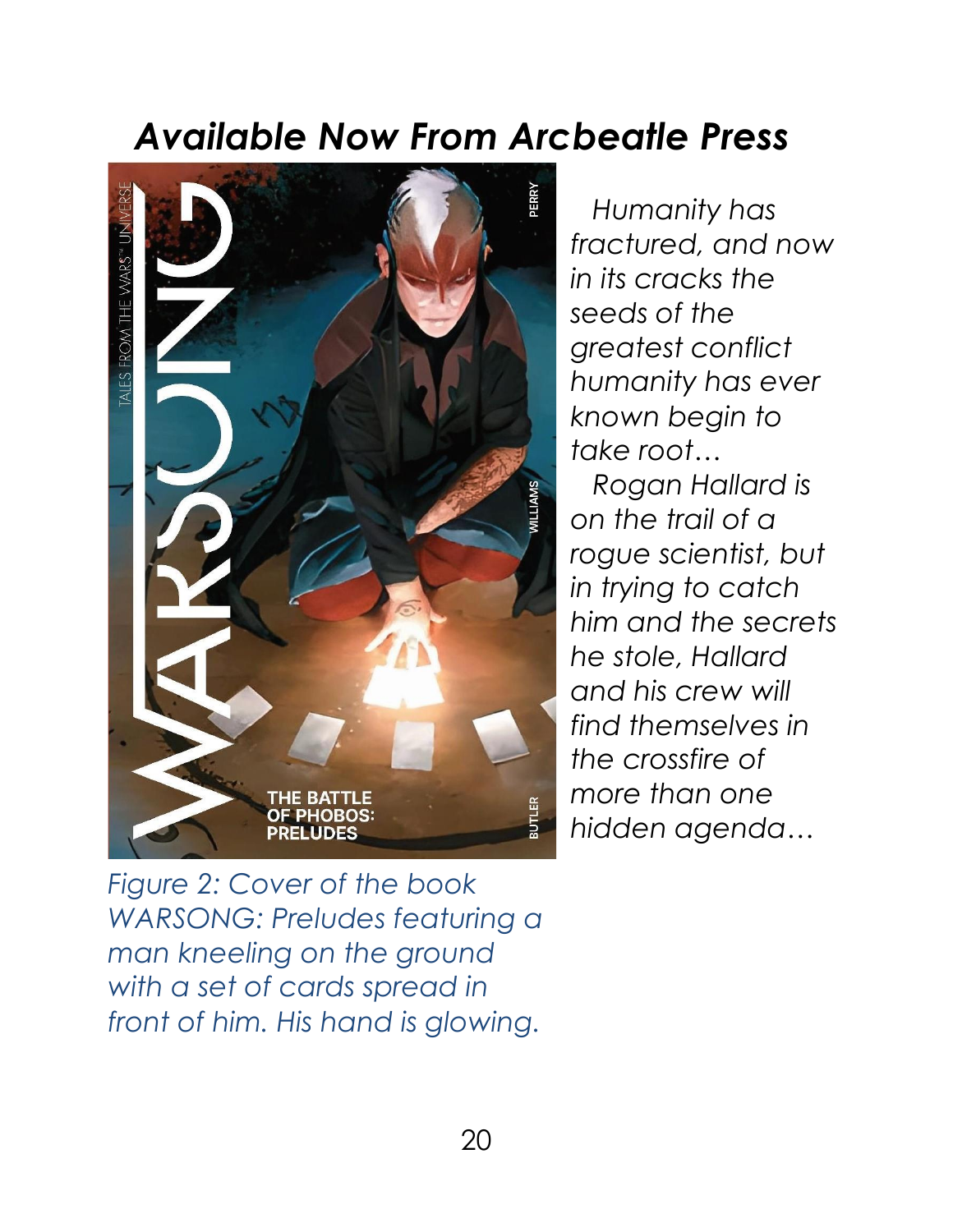### *Available Now From Arcbeatle Press*



*Humanity has fractured, and now in its cracks the seeds of the greatest conflict humanity has ever known begin to take root…*

*Rogan Hallard is on the trail of a rogue scientist, but in trying to catch him and the secrets he stole, Hallard and his crew will find themselves in the crossfire of more than one hidden agenda…*

*Figure 2: Cover of the book WARSONG: Preludes featuring a man kneeling on the ground with a set of cards spread in front of him. His hand is glowing.*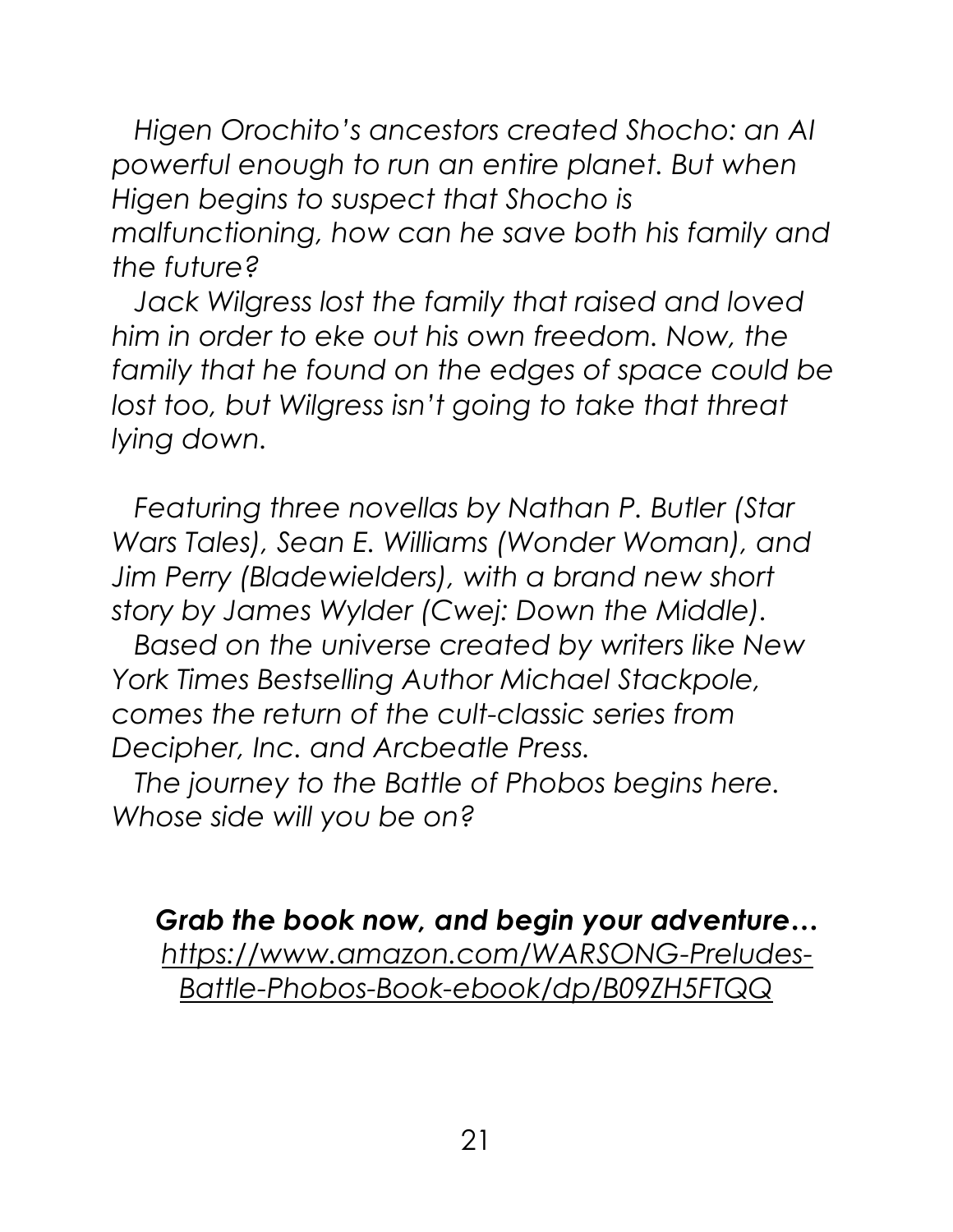*Higen Orochito's ancestors created Shocho: an AI powerful enough to run an entire planet. But when Higen begins to suspect that Shocho is malfunctioning, how can he save both his family and the future?*

*Jack Wilgress lost the family that raised and loved him in order to eke out his own freedom. Now, the family that he found on the edges of space could be*  lost too, but Wilgress isn't going to take that threat *lying down.*

*Featuring three novellas by Nathan P. Butler (Star Wars Tales), Sean E. Williams (Wonder Woman), and Jim Perry (Bladewielders), with a brand new short story by James Wylder (Cwej: Down the Middle).*

*Based on the universe created by writers like New York Times Bestselling Author Michael Stackpole, comes the return of the cult-classic series from Decipher, Inc. and Arcbeatle Press.*

*The journey to the Battle of Phobos begins here. Whose side will you be on?*

*Grab the book now, and begin your adventure… [https://www.amazon.com/WARSONG-Preludes-](https://www.amazon.com/WARSONG-Preludes-Battle-Phobos-Book-ebook/dp/B09ZH5FTQQ)[Battle-Phobos-Book-ebook/dp/B09ZH5FTQQ](https://www.amazon.com/WARSONG-Preludes-Battle-Phobos-Book-ebook/dp/B09ZH5FTQQ)*